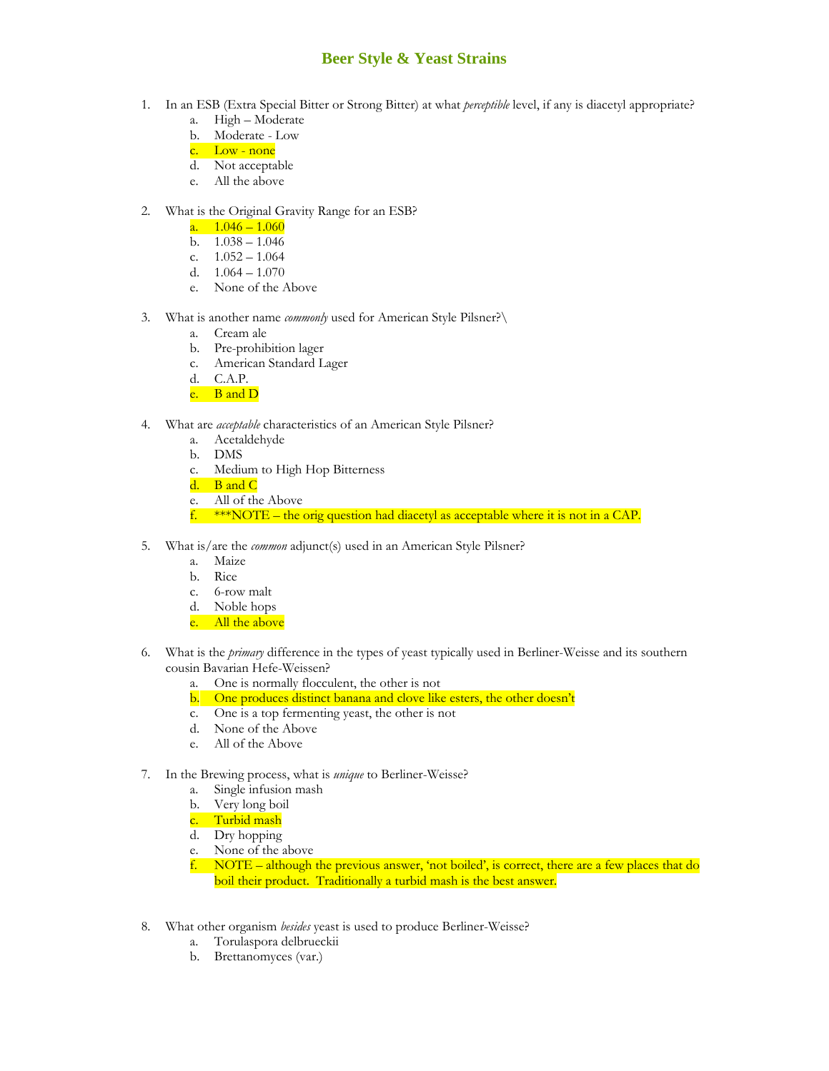## **Beer Style & Yeast Strains**

- 1. In an ESB (Extra Special Bitter or Strong Bitter) at what *perceptible* level, if any is diacetyl appropriate?
	- a. High Moderate
	- b. Moderate Low
	- c. Low none
	- d. Not acceptable
	- e. All the above

## 2. What is the Original Gravity Range for an ESB?

- a.  $1.046 1.060$
- b.  $1.038 1.046$
- c.  $1.052 1.064$
- d.  $1.064 1.070$
- e. None of the Above
- 3. What is another name *commonly* used for American Style Pilsner?\
	- a. Cream ale
	- b. Pre-prohibition lager
	- c. American Standard Lager
	- d. C.A.P.
	- e. B and D
- 4. What are *acceptable* characteristics of an American Style Pilsner?
	- a. Acetaldehyde
	- b. DMS
	- c. Medium to High Hop Bitterness
	- d. B and C
	- e. All of the Above
	- f.  $***\text{NOTE}$  the orig question had diacetyl as acceptable where it is not in a CAP.
- 5. What is/are the *common* adjunct(s) used in an American Style Pilsner?
	- a. Maize
	- b. Rice
	- c. 6-row malt
	- d. Noble hops
	- e. All the above
- 6. What is the *primary* difference in the types of yeast typically used in Berliner-Weisse and its southern cousin Bavarian Hefe-Weissen?
	- a. One is normally flocculent, the other is not
	- b. One produces distinct banana and clove like esters, the other doesn't
	- c. One is a top fermenting yeast, the other is not
	- d. None of the Above
	- e. All of the Above
- 7. In the Brewing process, what is *unique* to Berliner-Weisse?
	- a. Single infusion mash
	- b. Very long boil
	- c. Turbid mash
	- d. Dry hopping
	- e. None of the above
	- f. NOTE although the previous answer, 'not boiled', is correct, there are a few places that do boil their product. Traditionally a turbid mash is the best answer.
- 8. What other organism *besides* yeast is used to produce Berliner-Weisse?
	- a. Torulaspora delbrueckii
	- b. Brettanomyces (var.)